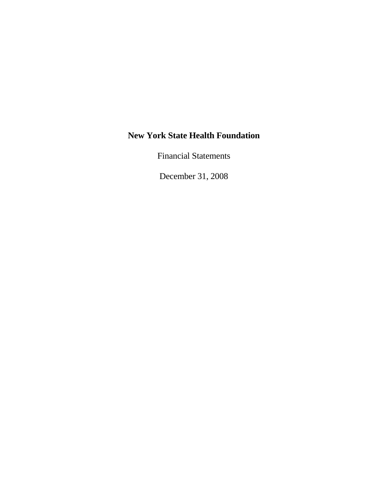Financial Statements

December 31, 2008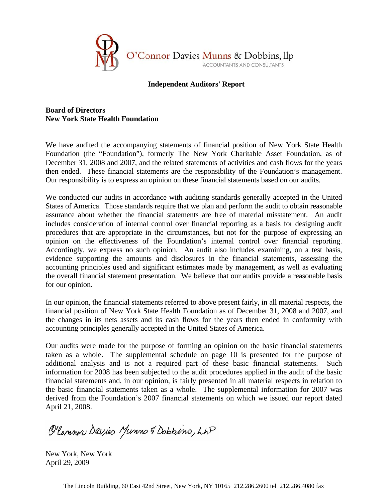

## **Independent Auditors' Report**

## **Board of Directors New York State Health Foundation**

We have audited the accompanying statements of financial position of New York State Health Foundation (the "Foundation"), formerly The New York Charitable Asset Foundation, as of December 31, 2008 and 2007, and the related statements of activities and cash flows for the years then ended. These financial statements are the responsibility of the Foundation's management. Our responsibility is to express an opinion on these financial statements based on our audits.

We conducted our audits in accordance with auditing standards generally accepted in the United States of America. Those standards require that we plan and perform the audit to obtain reasonable assurance about whether the financial statements are free of material misstatement. An audit includes consideration of internal control over financial reporting as a basis for designing audit procedures that are appropriate in the circumstances, but not for the purpose of expressing an opinion on the effectiveness of the Foundation's internal control over financial reporting. Accordingly, we express no such opinion. An audit also includes examining, on a test basis, evidence supporting the amounts and disclosures in the financial statements, assessing the accounting principles used and significant estimates made by management, as well as evaluating the overall financial statement presentation. We believe that our audits provide a reasonable basis for our opinion.

In our opinion, the financial statements referred to above present fairly, in all material respects, the financial position of New York State Health Foundation as of December 31, 2008 and 2007, and the changes in its nets assets and its cash flows for the years then ended in conformity with accounting principles generally accepted in the United States of America.

Our audits were made for the purpose of forming an opinion on the basic financial statements taken as a whole. The supplemental schedule on page 10 is presented for the purpose of additional analysis and is not a required part of these basic financial statements. Such information for 2008 has been subjected to the audit procedures applied in the audit of the basic financial statements and, in our opinion, is fairly presented in all material respects in relation to the basic financial statements taken as a whole. The supplemental information for 2007 was derived from the Foundation's 2007 financial statements on which we issued our report dated April 21, 2008.

O'Common Davies Munns & Dobbins, LAP

New York, New York April 29, 2009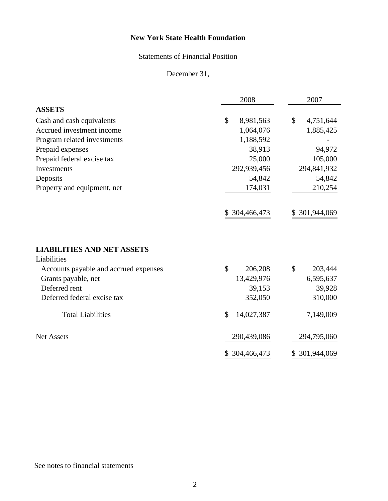# Statements of Financial Position

December 31,

|                                                  | 2008             | 2007              |
|--------------------------------------------------|------------------|-------------------|
| <b>ASSETS</b>                                    |                  |                   |
| Cash and cash equivalents                        | \$<br>8,981,563  | \$<br>4,751,644   |
| Accrued investment income                        | 1,064,076        | 1,885,425         |
| Program related investments                      | 1,188,592        |                   |
| Prepaid expenses                                 | 38,913           | 94,972            |
| Prepaid federal excise tax                       | 25,000           | 105,000           |
| Investments                                      | 292,939,456      | 294,841,932       |
| Deposits                                         | 54,842           | 54,842            |
| Property and equipment, net                      | 174,031          | 210,254           |
|                                                  | \$ 304,466,473   | \$ 301,944,069    |
| <b>LIABILITIES AND NET ASSETS</b><br>Liabilities |                  |                   |
| Accounts payable and accrued expenses            | \$<br>206,208    | \$<br>203,444     |
| Grants payable, net                              | 13,429,976       | 6,595,637         |
| Deferred rent                                    | 39,153           | 39,928            |
| Deferred federal excise tax                      | 352,050          | 310,000           |
| <b>Total Liabilities</b>                         | \$<br>14,027,387 | 7,149,009         |
| <b>Net Assets</b>                                | 290,439,086      | 294,795,060       |
|                                                  | 304,466,473<br>S | 301,944,069<br>\$ |

# See notes to financial statements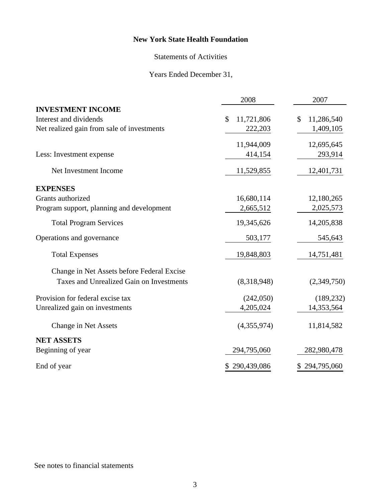# Statements of Activities

# Years Ended December 31,

|                                            | 2008             | 2007             |
|--------------------------------------------|------------------|------------------|
| <b>INVESTMENT INCOME</b>                   |                  |                  |
| Interest and dividends                     | \$<br>11,721,806 | 11,286,540<br>\$ |
| Net realized gain from sale of investments | 222,203          | 1,409,105        |
|                                            | 11,944,009       | 12,695,645       |
| Less: Investment expense                   | 414,154          | 293,914          |
| Net Investment Income                      | 11,529,855       | 12,401,731       |
| <b>EXPENSES</b>                            |                  |                  |
| Grants authorized                          | 16,680,114       | 12,180,265       |
| Program support, planning and development  | 2,665,512        | 2,025,573        |
| <b>Total Program Services</b>              | 19,345,626       | 14,205,838       |
| Operations and governance                  | 503,177          | 545,643          |
| <b>Total Expenses</b>                      | 19,848,803       | 14,751,481       |
| Change in Net Assets before Federal Excise |                  |                  |
| Taxes and Unrealized Gain on Investments   | (8,318,948)      | (2,349,750)      |
| Provision for federal excise tax           | (242,050)        | (189, 232)       |
| Unrealized gain on investments             | 4,205,024        | 14,353,564       |
| Change in Net Assets                       | (4,355,974)      | 11,814,582       |
| <b>NET ASSETS</b>                          |                  |                  |
| Beginning of year                          | 294,795,060      | 282,980,478      |
| End of year                                | \$290,439,086    | \$294,795,060    |

# See notes to financial statements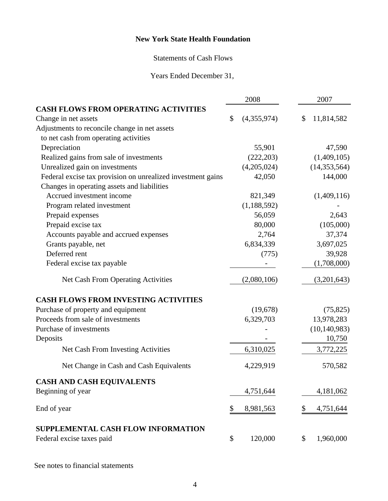## Statements of Cash Flows

Years Ended December 31,

|                                                             |    | 2008          |    | 2007           |  |
|-------------------------------------------------------------|----|---------------|----|----------------|--|
| <b>CASH FLOWS FROM OPERATING ACTIVITIES</b>                 |    |               |    |                |  |
| Change in net assets                                        | \$ | (4,355,974)   | \$ | 11,814,582     |  |
| Adjustments to reconcile change in net assets               |    |               |    |                |  |
| to net cash from operating activities                       |    |               |    |                |  |
| Depreciation                                                |    | 55,901        |    | 47,590         |  |
| Realized gains from sale of investments                     |    | (222, 203)    |    | (1,409,105)    |  |
| Unrealized gain on investments                              |    | (4,205,024)   |    | (14, 353, 564) |  |
| Federal excise tax provision on unrealized investment gains |    | 42,050        |    | 144,000        |  |
| Changes in operating assets and liabilities                 |    |               |    |                |  |
| Accrued investment income                                   |    | 821,349       |    | (1,409,116)    |  |
| Program related investment                                  |    | (1, 188, 592) |    |                |  |
| Prepaid expenses                                            |    | 56,059        |    | 2,643          |  |
| Prepaid excise tax                                          |    | 80,000        |    | (105,000)      |  |
| Accounts payable and accrued expenses                       |    | 2,764         |    | 37,374         |  |
| Grants payable, net                                         |    | 6,834,339     |    | 3,697,025      |  |
| Deferred rent                                               |    | (775)         |    | 39,928         |  |
| Federal excise tax payable                                  |    |               |    | (1,708,000)    |  |
| Net Cash From Operating Activities                          |    | (2,080,106)   |    | (3,201,643)    |  |
| <b>CASH FLOWS FROM INVESTING ACTIVITIES</b>                 |    |               |    |                |  |
| Purchase of property and equipment                          |    | (19,678)      |    | (75, 825)      |  |
| Proceeds from sale of investments                           |    | 6,329,703     |    | 13,978,283     |  |
| Purchase of investments                                     |    |               |    | (10, 140, 983) |  |
| Deposits                                                    |    |               |    | 10,750         |  |
| Net Cash From Investing Activities                          |    | 6,310,025     |    | 3,772,225      |  |
| Net Change in Cash and Cash Equivalents                     |    | 4,229,919     |    | 570,582        |  |
| <b>CASH AND CASH EQUIVALENTS</b>                            |    |               |    |                |  |
| Beginning of year                                           |    | 4,751,644     |    | 4,181,062      |  |
| End of year                                                 | \$ | 8,981,563     | \$ | 4,751,644      |  |
| SUPPLEMENTAL CASH FLOW INFORMATION                          |    |               |    |                |  |
| Federal excise taxes paid                                   | \$ | 120,000       | \$ | 1,960,000      |  |

See notes to financial statements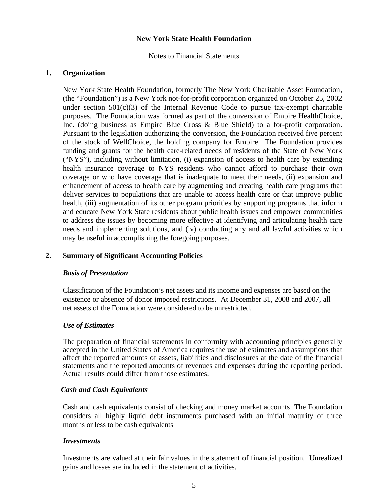Notes to Financial Statements

### **1. Organization**

New York State Health Foundation, formerly The New York Charitable Asset Foundation, (the "Foundation") is a New York not-for-profit corporation organized on October 25, 2002 under section  $501(c)(3)$  of the Internal Revenue Code to pursue tax-exempt charitable purposes. The Foundation was formed as part of the conversion of Empire HealthChoice, Inc. (doing business as Empire Blue Cross & Blue Shield) to a for-profit corporation. Pursuant to the legislation authorizing the conversion, the Foundation received five percent of the stock of WellChoice, the holding company for Empire. The Foundation provides funding and grants for the health care-related needs of residents of the State of New York ("NYS"), including without limitation, (i) expansion of access to health care by extending health insurance coverage to NYS residents who cannot afford to purchase their own coverage or who have coverage that is inadequate to meet their needs, (ii) expansion and enhancement of access to health care by augmenting and creating health care programs that deliver services to populations that are unable to access health care or that improve public health, (iii) augmentation of its other program priorities by supporting programs that inform and educate New York State residents about public health issues and empower communities to address the issues by becoming more effective at identifying and articulating health care needs and implementing solutions, and (iv) conducting any and all lawful activities which may be useful in accomplishing the foregoing purposes.

### **2. Summary of Significant Accounting Policies**

### *Basis of Presentation*

Classification of the Foundation's net assets and its income and expenses are based on the existence or absence of donor imposed restrictions. At December 31, 2008 and 2007, all net assets of the Foundation were considered to be unrestricted.

### *Use of Estimates*

The preparation of financial statements in conformity with accounting principles generally accepted in the United States of America requires the use of estimates and assumptions that affect the reported amounts of assets, liabilities and disclosures at the date of the financial statements and the reported amounts of revenues and expenses during the reporting period. Actual results could differ from those estimates.

### *Cash and Cash Equivalents*

 Cash and cash equivalents consist of checking and money market accounts The Foundation considers all highly liquid debt instruments purchased with an initial maturity of three months or less to be cash equivalents

### *Investments*

 Investments are valued at their fair values in the statement of financial position. Unrealized gains and losses are included in the statement of activities.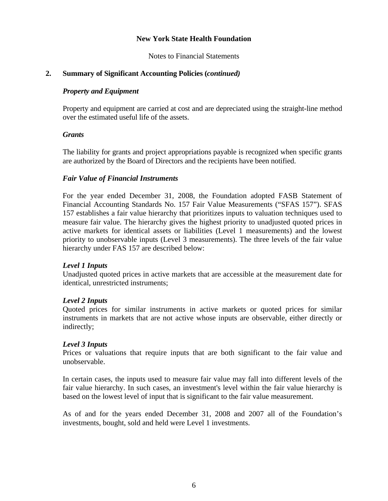Notes to Financial Statements

## **2. Summary of Significant Accounting Policies (***continued)*

## *Property and Equipment*

Property and equipment are carried at cost and are depreciated using the straight-line method over the estimated useful life of the assets.

### *Grants*

 The liability for grants and project appropriations payable is recognized when specific grants are authorized by the Board of Directors and the recipients have been notified.

## *Fair Value of Financial Instruments*

For the year ended December 31, 2008, the Foundation adopted FASB Statement of Financial Accounting Standards No. 157 Fair Value Measurements ("SFAS 157"). SFAS 157 establishes a fair value hierarchy that prioritizes inputs to valuation techniques used to measure fair value. The hierarchy gives the highest priority to unadjusted quoted prices in active markets for identical assets or liabilities (Level 1 measurements) and the lowest priority to unobservable inputs (Level 3 measurements). The three levels of the fair value hierarchy under FAS 157 are described below:

## *Level 1 Inputs*

Unadjusted quoted prices in active markets that are accessible at the measurement date for identical, unrestricted instruments;

### *Level 2 Inputs*

Quoted prices for similar instruments in active markets or quoted prices for similar instruments in markets that are not active whose inputs are observable, either directly or indirectly;

### *Level 3 Inputs*

Prices or valuations that require inputs that are both significant to the fair value and unobservable.

In certain cases, the inputs used to measure fair value may fall into different levels of the fair value hierarchy. In such cases, an investment's level within the fair value hierarchy is based on the lowest level of input that is significant to the fair value measurement.

As of and for the years ended December 31, 2008 and 2007 all of the Foundation's investments, bought, sold and held were Level 1 investments.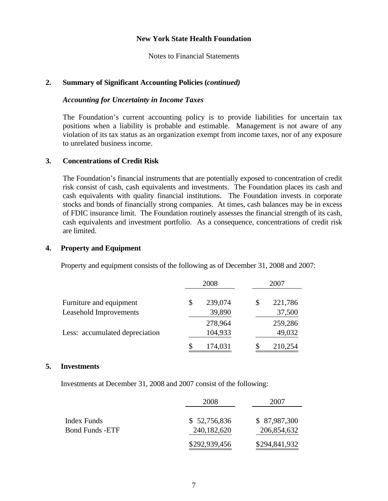Notes to Financial Statements

#### **2. Summary of Significant Accounting Policies (***continued)*

#### *Accounting for Uncertainty in Income Taxes*

The Foundation's current accounting policy is to provide liabilities for uncertain tax positions when a liability is probable and estimable. Management is not aware of any violation of its tax status as an organization exempt from income taxes, nor of any exposure to unrelated business income.

#### **3. Concentrations of Credit Risk**

 The Foundation's financial instruments that are potentially exposed to concentration of credit risk consist of cash, cash equivalents and investments. The Foundation places its cash and cash equivalents with quality financial institutions. The Foundation invests in corporate stocks and bonds of financially strong companies. At times, cash balances may be in excess of FDIC insurance limit. The Foundation routinely assesses the financial strength of its cash, cash equivalents and investment portfolio. As a consequence, concentrations of credit risk are limited.

#### **4. Property and Equipment**

Property and equipment consists of the following as of December 31, 2008 and 2007:

|                                | 2008 |         | 2007          |  |
|--------------------------------|------|---------|---------------|--|
| Furniture and equipment        | \$   | 239,074 | \$<br>221,786 |  |
| Leasehold Improvements         |      | 39,890  | 37,500        |  |
|                                |      | 278,964 | 259,286       |  |
| Less: accumulated depreciation |      | 104,933 | 49,032        |  |
|                                | \$   | 174,031 | 210,254       |  |

#### **5. Investments**

Investments at December 31, 2008 and 2007 consist of the following:

|                        | 2008          | 2007          |  |
|------------------------|---------------|---------------|--|
|                        |               |               |  |
| Index Funds            | \$52,756,836  | \$87,987,300  |  |
| <b>Bond Funds -ETF</b> | 240,182,620   | 206,854,632   |  |
|                        | \$292,939,456 | \$294,841,932 |  |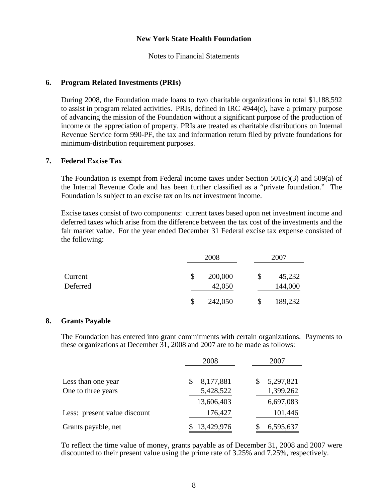Notes to Financial Statements

#### **6. Program Related Investments (PRIs)**

During 2008, the Foundation made loans to two charitable organizations in total \$1,188,592 to assist in program related activities. PRIs, defined in IRC 4944(c), have a primary purpose of advancing the mission of the Foundation without a significant purpose of the production of income or the appreciation of property. PRIs are treated as charitable distributions on Internal Revenue Service form 990-PF, the tax and information return filed by private foundations for minimum-distribution requirement purposes.

#### **7. Federal Excise Tax**

The Foundation is exempt from Federal income taxes under Section  $501(c)(3)$  and  $509(a)$  of the Internal Revenue Code and has been further classified as a "private foundation." The Foundation is subject to an excise tax on its net investment income.

 Excise taxes consist of two components: current taxes based upon net investment income and deferred taxes which arise from the difference between the tax cost of the investments and the fair market value. For the year ended December 31 Federal excise tax expense consisted of the following:

|                     | 2008                    |    | 2007              |  |
|---------------------|-------------------------|----|-------------------|--|
| Current<br>Deferred | \$<br>200,000<br>42,050 | \$ | 45,232<br>144,000 |  |
|                     | \$<br>242,050           |    | 189,232           |  |

#### **8. Grants Payable**

 The Foundation has entered into grant commitments with certain organizations. Payments to these organizations at December 31, 2008 and 2007 are to be made as follows:

|                              | 2008           | 2007            |
|------------------------------|----------------|-----------------|
| Less than one year           | 8,177,881<br>S | 5,297,821<br>\$ |
| One to three years           | 5,428,522      | 1,399,262       |
|                              | 13,606,403     | 6,697,083       |
| Less: present value discount | 176,427        | 101,446         |
| Grants payable, net          | 13,429,976     | 6,595,637       |

 To reflect the time value of money, grants payable as of December 31, 2008 and 2007 were discounted to their present value using the prime rate of 3.25% and 7.25%, respectively.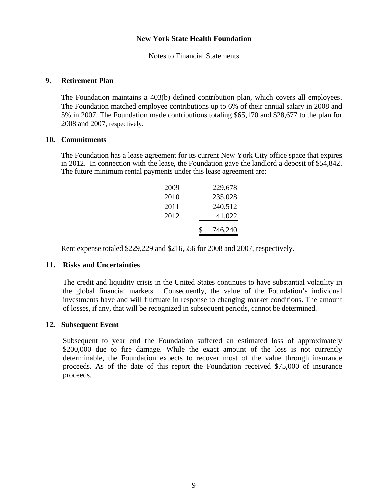Notes to Financial Statements

#### **9. Retirement Plan**

The Foundation maintains a 403(b) defined contribution plan, which covers all employees. The Foundation matched employee contributions up to 6% of their annual salary in 2008 and 5% in 2007. The Foundation made contributions totaling \$65,170 and \$28,677 to the plan for 2008 and 2007, respectively.

#### **10. Commitments**

 The Foundation has a lease agreement for its current New York City office space that expires in 2012. In connection with the lease, the Foundation gave the landlord a deposit of \$54,842. The future minimum rental payments under this lease agreement are:

|      | \$<br>746,240 |
|------|---------------|
| 2012 | 41,022        |
| 2011 | 240,512       |
| 2010 | 235,028       |
| 2009 | 229,678       |

Rent expense totaled \$229,229 and \$216,556 for 2008 and 2007, respectively.

## **11. Risks and Uncertainties**

 The credit and liquidity crisis in the United States continues to have substantial volatility in the global financial markets. Consequently, the value of the Foundation's individual investments have and will fluctuate in response to changing market conditions. The amount of losses, if any, that will be recognized in subsequent periods, cannot be determined.

#### **12. Subsequent Event**

 Subsequent to year end the Foundation suffered an estimated loss of approximately \$200,000 due to fire damage. While the exact amount of the loss is not currently determinable, the Foundation expects to recover most of the value through insurance proceeds. As of the date of this report the Foundation received \$75,000 of insurance proceeds.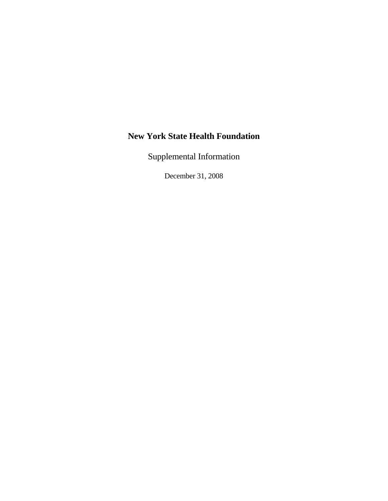Supplemental Information

December 31, 2008